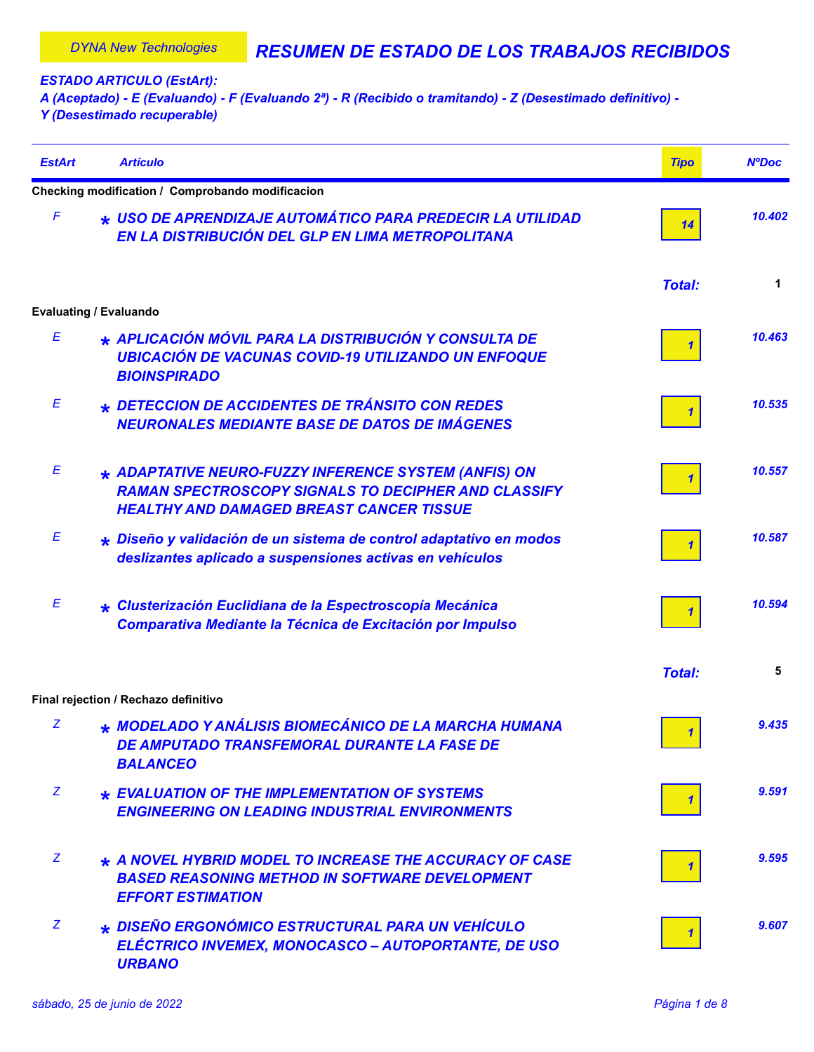*ESTADO ARTICULO (EstArt):*

*A (Aceptado) - E (Evaluando) - F (Evaluando 2ª) - R (Recibido o tramitando) - Z (Desestimado definitivo) - Y (Desestimado recuperable)*

| <b>EstArt</b> | <b>Artículo</b>                                                                                                                                                       | <b>Tipo</b>             | <b>NºDoc</b> |
|---------------|-----------------------------------------------------------------------------------------------------------------------------------------------------------------------|-------------------------|--------------|
|               | Checking modification / Comprobando modificacion                                                                                                                      |                         |              |
| F             | * USO DE APRENDIZAJE AUTOMÁTICO PARA PREDECIR LA UTILIDAD<br>EN LA DISTRIBUCIÓN DEL GLP EN LIMA METROPOLITANA                                                         | 14                      | 10.402       |
|               |                                                                                                                                                                       | <b>Total:</b>           | 1            |
|               | <b>Evaluating / Evaluando</b>                                                                                                                                         |                         |              |
| E             | * APLICACIÓN MÓVIL PARA LA DISTRIBUCIÓN Y CONSULTA DE<br><b>UBICACIÓN DE VACUNAS COVID-19 UTILIZANDO UN ENFOQUE</b><br><b>BIOINSPIRADO</b>                            |                         | 10.463       |
| Ε             | * DETECCION DE ACCIDENTES DE TRÁNSITO CON REDES<br><b>NEURONALES MEDIANTE BASE DE DATOS DE IMÁGENES</b>                                                               |                         | 10.535       |
| Ε             | * ADAPTATIVE NEURO-FUZZY INFERENCE SYSTEM (ANFIS) ON<br><b>RAMAN SPECTROSCOPY SIGNALS TO DECIPHER AND CLASSIFY</b><br><b>HEALTHY AND DAMAGED BREAST CANCER TISSUE</b> |                         | 10.557       |
| Е             | * Diseño y validación de un sistema de control adaptativo en modos<br>deslizantes aplicado a suspensiones activas en vehículos                                        |                         | 10.587       |
| Ε             | * Clusterización Euclidiana de la Espectroscopía Mecánica<br>Comparativa Mediante la Técnica de Excitación por Impulso                                                |                         | 10.594       |
|               |                                                                                                                                                                       | <b>Total:</b>           | 5            |
|               | Final rejection / Rechazo definitivo                                                                                                                                  |                         |              |
| z             | * MODELADO Y ANÁLISIS BIOMECÁNICO DE LA MARCHA HUMANA<br><b>DE AMPUTADO TRANSFEMORAL DURANTE LA FASE DE</b><br><b>BALANCEO</b>                                        | $\overline{\mathbf{1}}$ | 9.435        |
| Z.            | * EVALUATION OF THE IMPLEMENTATION OF SYSTEMS<br><b>ENGINEERING ON LEADING INDUSTRIAL ENVIRONMENTS</b>                                                                |                         | 9.591        |
| Z             | * A NOVEL HYBRID MODEL TO INCREASE THE ACCURACY OF CASE<br><b>BASED REASONING METHOD IN SOFTWARE DEVELOPMENT</b><br><b>EFFORT ESTIMATION</b>                          |                         | 9.595        |
| Z             | * DISEÑO ERGONÓMICO ESTRUCTURAL PARA UN VEHÍCULO<br>ELÉCTRICO INVEMEX, MONOCASCO – AUTOPORTANTE, DE USO<br><b>URBANO</b>                                              |                         | 9.607        |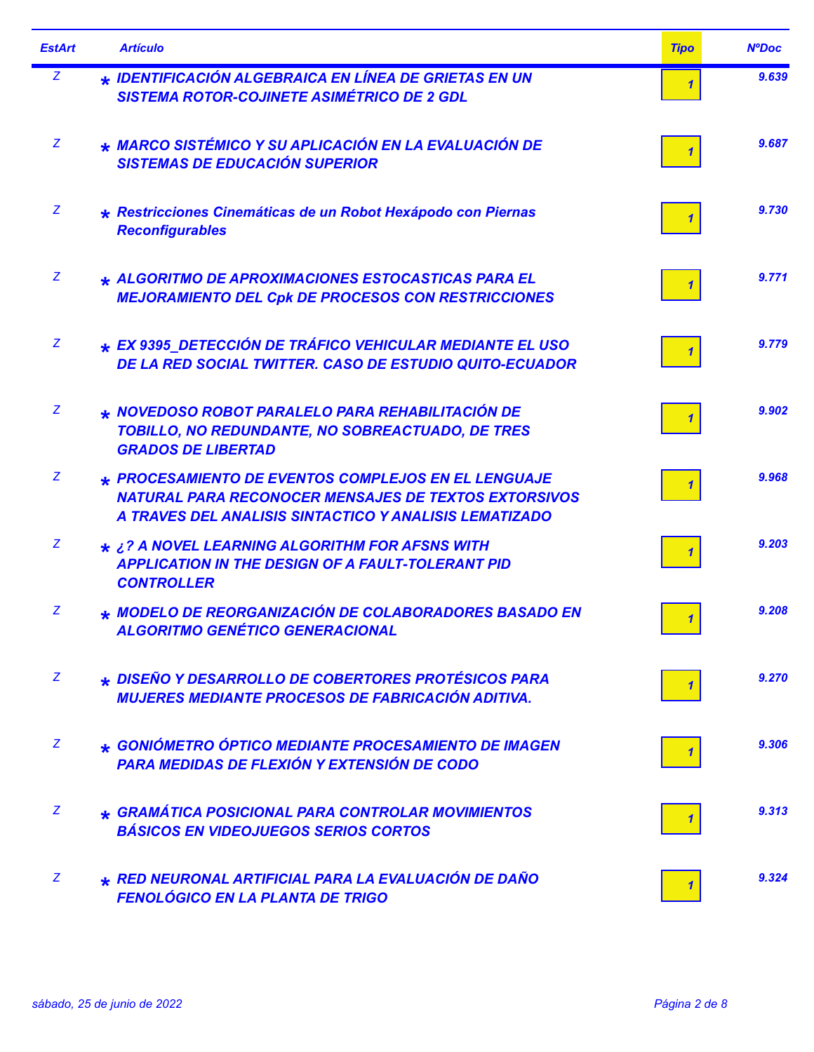| <b>EstArt</b> | <b>Artículo</b>                                                                                                                                                              | <b>Tipo</b> | <b>NºDoc</b> |
|---------------|------------------------------------------------------------------------------------------------------------------------------------------------------------------------------|-------------|--------------|
| Z             | * IDENTIFICACIÓN ALGEBRAICA EN LÍNEA DE GRIETAS EN UN<br><b>SISTEMA ROTOR-COJINETE ASIMÉTRICO DE 2 GDL</b>                                                                   |             | 9.639        |
| Z             | * MARCO SISTÉMICO Y SU APLICACIÓN EN LA EVALUACIÓN DE<br><b>SISTEMAS DE EDUCACIÓN SUPERIOR</b>                                                                               |             | 9.687        |
| Z             | * Restricciones Cinemáticas de un Robot Hexápodo con Piernas<br><b>Reconfigurables</b>                                                                                       |             | 9.730        |
| Z             | * ALGORITMO DE APROXIMACIONES ESTOCASTICAS PARA EL<br><b>MEJORAMIENTO DEL Cpk DE PROCESOS CON RESTRICCIONES</b>                                                              |             | 9.771        |
| Z             | * EX 9395 DETECCIÓN DE TRÁFICO VEHICULAR MEDIANTE EL USO<br>DE LA RED SOCIAL TWITTER. CASO DE ESTUDIO QUITO-ECUADOR                                                          |             | 9.779        |
| Z             | * NOVEDOSO ROBOT PARALELO PARA REHABILITACIÓN DE<br>TOBILLO, NO REDUNDANTE, NO SOBREACTUADO, DE TRES<br><b>GRADOS DE LIBERTAD</b>                                            |             | 9.902        |
| Z             | * PROCESAMIENTO DE EVENTOS COMPLEJOS EN EL LENGUAJE<br><b>NATURAL PARA RECONOCER MENSAJES DE TEXTOS EXTORSIVOS</b><br>A TRAVES DEL ANALISIS SINTACTICO Y ANALISIS LEMATIZADO |             | 9.968        |
| Z             | * ¿? A NOVEL LEARNING ALGORITHM FOR AFSNS WITH<br><b>APPLICATION IN THE DESIGN OF A FAULT-TOLERANT PID</b><br><b>CONTROLLER</b>                                              |             | 9.203        |
| Z             | * MODELO DE REORGANIZACIÓN DE COLABORADORES BASADO EN<br><b>ALGORITMO GENÉTICO GENERACIONAL</b>                                                                              |             | 9.208        |
| Z             | * DISEÑO Y DESARROLLO DE COBERTORES PROTÉSICOS PARA<br><b>MUJERES MEDIANTE PROCESOS DE FABRICACIÓN ADITIVA.</b>                                                              |             | 9.270        |
| Z             | * GONIÓMETRO ÓPTICO MEDIANTE PROCESAMIENTO DE IMAGEN<br><b>PARA MEDIDAS DE FLEXIÓN Y EXTENSIÓN DE CODO</b>                                                                   |             | 9.306        |
| Z             | * GRAMÁTICA POSICIONAL PARA CONTROLAR MOVIMIENTOS<br><b>BÁSICOS EN VIDEOJUEGOS SERIOS CORTOS</b>                                                                             |             | 9.313        |
| Z             | * RED NEURONAL ARTIFICIAL PARA LA EVALUACIÓN DE DAÑO<br><b>FENOLÓGICO EN LA PLANTA DE TRIGO</b>                                                                              |             | 9.324        |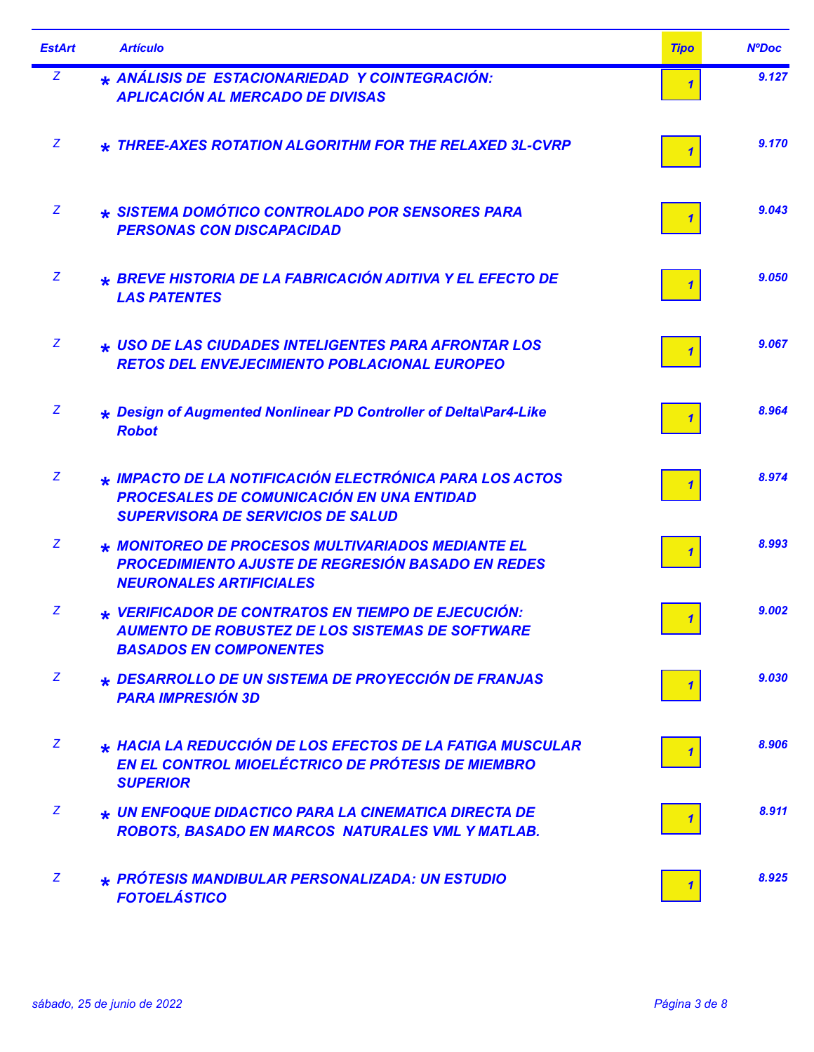| <b>EstArt</b> | <b>Artículo</b>                                                                                                                                         | <b>Tipo</b> | <b>NºDoc</b> |
|---------------|---------------------------------------------------------------------------------------------------------------------------------------------------------|-------------|--------------|
| Z             | * ANÁLISIS DE ESTACIONARIEDAD Y COINTEGRACIÓN:<br><b>APLICACIÓN AL MERCADO DE DIVISAS</b>                                                               |             | 9.127        |
| Z             | * THREE-AXES ROTATION ALGORITHM FOR THE RELAXED 3L-CVRP                                                                                                 |             | 9.170        |
| Z             | * SISTEMA DOMÓTICO CONTROLADO POR SENSORES PARA<br><b>PERSONAS CON DISCAPACIDAD</b>                                                                     |             | 9.043        |
| Z             | * BREVE HISTORIA DE LA FABRICACIÓN ADITIVA Y EL EFECTO DE<br><b>LAS PATENTES</b>                                                                        |             | 9.050        |
| Z             | * USO DE LAS CIUDADES INTELIGENTES PARA AFRONTAR LOS<br><b>RETOS DEL ENVEJECIMIENTO POBLACIONAL EUROPEO</b>                                             |             | 9.067        |
| Z             | * Design of Augmented Nonlinear PD Controller of Delta\Par4-Like<br><b>Robot</b>                                                                        |             | 8.964        |
| Z             | * IMPACTO DE LA NOTIFICACIÓN ELECTRÓNICA PARA LOS ACTOS<br><b>PROCESALES DE COMUNICACIÓN EN UNA ENTIDAD</b><br><b>SUPERVISORA DE SERVICIOS DE SALUD</b> |             | 8.974        |
| Z             | * MONITOREO DE PROCESOS MULTIVARIADOS MEDIANTE EL<br><b>PROCEDIMIENTO AJUSTE DE REGRESIÓN BASADO EN REDES</b><br><b>NEURONALES ARTIFICIALES</b>         |             | 8.993        |
| Z             | * VERIFICADOR DE CONTRATOS EN TIEMPO DE EJECUCIÓN:<br><b>AUMENTO DE ROBUSTEZ DE LOS SISTEMAS DE SOFTWARE</b><br><b>BASADOS EN COMPONENTES</b>           |             | 9.002        |
| Z             | * DESARROLLO DE UN SISTEMA DE PROYECCIÓN DE FRANJAS<br><b>PARA IMPRESIÓN 3D</b>                                                                         |             | 9.030        |
| Z             | * HACIA LA REDUCCIÓN DE LOS EFECTOS DE LA FATIGA MUSCULAR<br>EN EL CONTROL MIOELÉCTRICO DE PRÓTESIS DE MIEMBRO<br><b>SUPERIOR</b>                       |             | 8.906        |
| Z             | * UN ENFOQUE DIDACTICO PARA LA CINEMATICA DIRECTA DE<br>ROBOTS, BASADO EN MARCOS NATURALES VML Y MATLAB.                                                |             | 8.911        |
| Z             | * PRÓTESIS MANDIBULAR PERSONALIZADA: UN ESTUDIO<br><b>FOTOELÁSTICO</b>                                                                                  |             | 8.925        |

Ē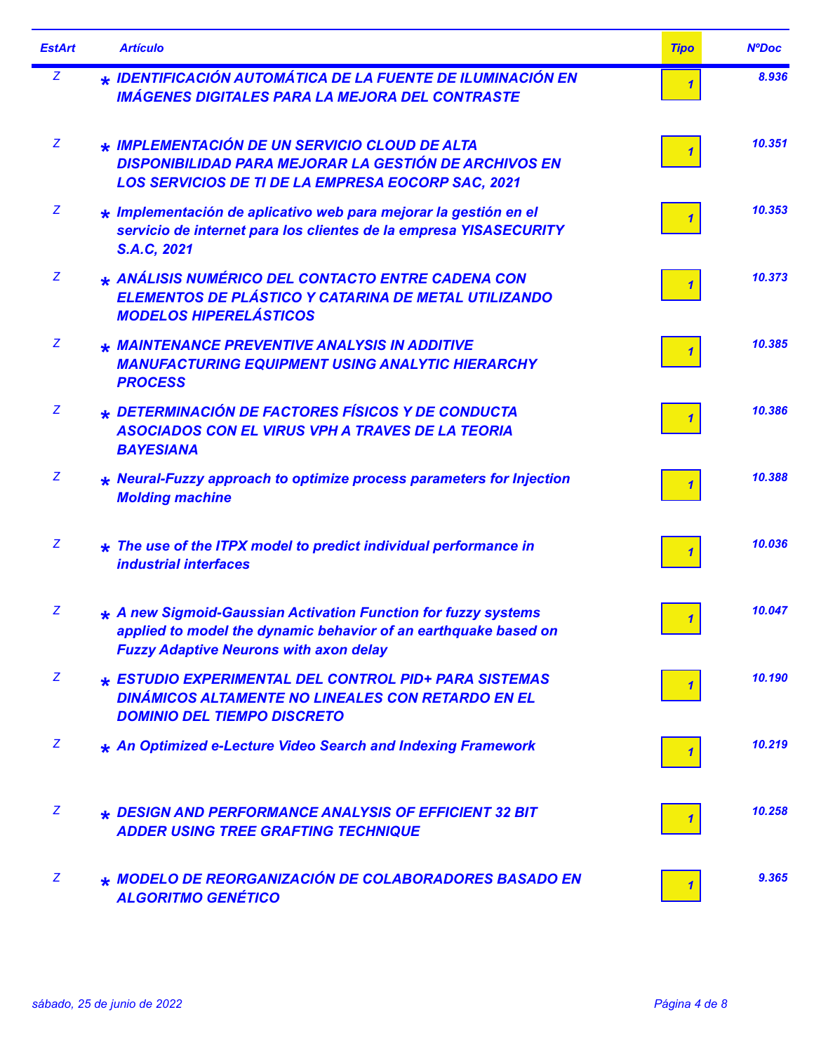| <b>EstArt</b> | <b>Artículo</b>                                                                                                                                                                    | <b>Tipo</b>  | <b>NºDoc</b> |
|---------------|------------------------------------------------------------------------------------------------------------------------------------------------------------------------------------|--------------|--------------|
| $\mathbf{Z}$  | * IDENTIFICACIÓN AUTOMÁTICA DE LA FUENTE DE ILUMINACIÓN EN<br><b>IMÁGENES DIGITALES PARA LA MEJORA DEL CONTRASTE</b>                                                               | $\mathbf{1}$ | 8.936        |
| Z             | * IMPLEMENTACIÓN DE UN SERVICIO CLOUD DE ALTA<br><b>DISPONIBILIDAD PARA MEJORAR LA GESTIÓN DE ARCHIVOS EN</b><br><b>LOS SERVICIOS DE TI DE LA EMPRESA EOCORP SAC, 2021</b>         | 1            | 10.351       |
| Z             | * Implementación de aplicativo web para mejorar la gestión en el<br>servicio de internet para los clientes de la empresa YISASECURITY<br>S.A.C, 2021                               |              | 10.353       |
| Z             | * ANÁLISIS NUMÉRICO DEL CONTACTO ENTRE CADENA CON<br>ELEMENTOS DE PLÁSTICO Y CATARINA DE METAL UTILIZANDO<br><b>MODELOS HIPERELÁSTICOS</b>                                         |              | 10.373       |
| Z             | * MAINTENANCE PREVENTIVE ANALYSIS IN ADDITIVE<br><b>MANUFACTURING EQUIPMENT USING ANALYTIC HIERARCHY</b><br><b>PROCESS</b>                                                         |              | 10.385       |
| Z             | * DETERMINACIÓN DE FACTORES FÍSICOS Y DE CONDUCTA<br><b>ASOCIADOS CON EL VIRUS VPH A TRAVES DE LA TEORIA</b><br><b>BAYESIANA</b>                                                   |              | 10.386       |
| Z             | * Neural-Fuzzy approach to optimize process parameters for Injection<br><b>Molding machine</b>                                                                                     |              | 10.388       |
| Z             | $\star$ The use of the ITPX model to predict individual performance in<br><b>industrial interfaces</b>                                                                             |              | 10.036       |
| Z             | * A new Sigmoid-Gaussian Activation Function for fuzzy systems<br>applied to model the dynamic behavior of an earthquake based on<br><b>Fuzzy Adaptive Neurons with axon delay</b> | $\mathbf{1}$ | 10.047       |
| Z             | * ESTUDIO EXPERIMENTAL DEL CONTROL PID+ PARA SISTEMAS<br><b>DINÁMICOS ALTAMENTE NO LINEALES CON RETARDO EN EL</b><br><b>DOMINIO DEL TIEMPO DISCRETO</b>                            |              | 10.190       |
| Z             | * An Optimized e-Lecture Video Search and Indexing Framework                                                                                                                       |              | 10.219       |
| Z             | * DESIGN AND PERFORMANCE ANALYSIS OF EFFICIENT 32 BIT<br><b>ADDER USING TREE GRAFTING TECHNIQUE</b>                                                                                |              | 10.258       |
| Z             | * MODELO DE REORGANIZACIÓN DE COLABORADORES BASADO EN<br><b>ALGORITMO GENÉTICO</b>                                                                                                 |              | 9.365        |

۰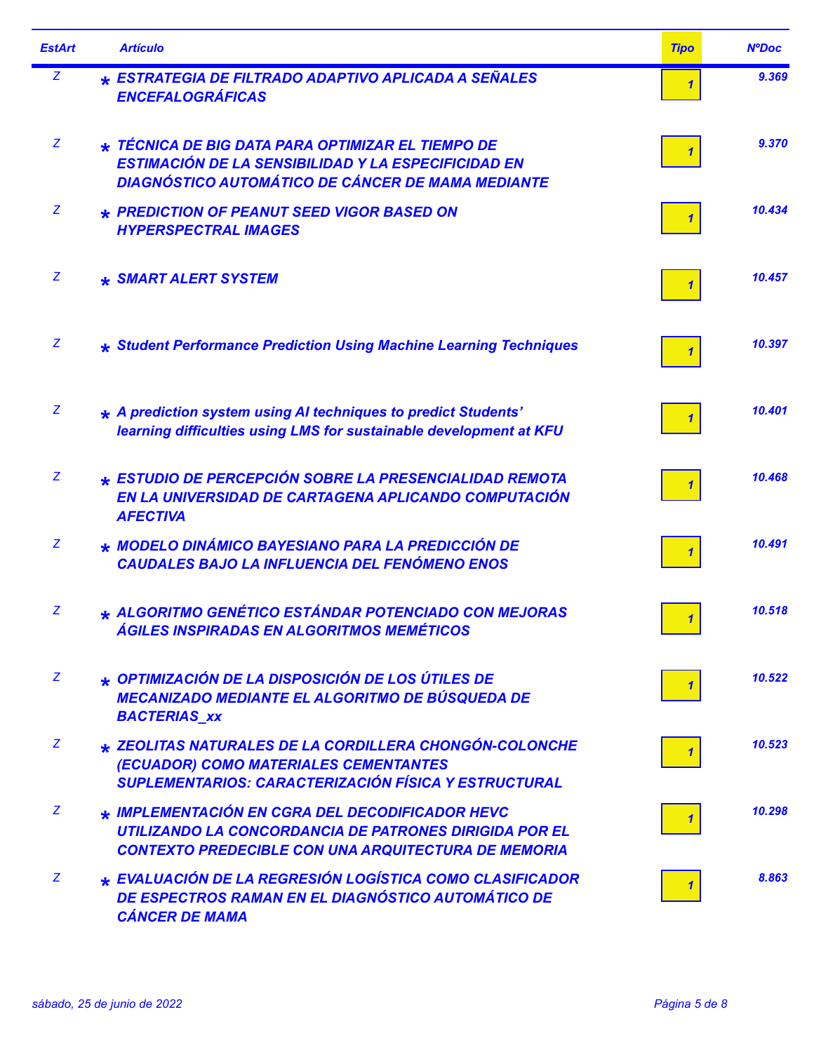| <b>EstArt</b> | <b>Artículo</b>                                                                                                                                                             | <b>Tipo</b> | <b>NºDoc</b> |
|---------------|-----------------------------------------------------------------------------------------------------------------------------------------------------------------------------|-------------|--------------|
| Z             | * ESTRATEGIA DE FILTRADO ADAPTIVO APLICADA A SEÑALES<br><b>ENCEFALOGRÁFICAS</b>                                                                                             |             | 9.369        |
| Z             | * TÉCNICA DE BIG DATA PARA OPTIMIZAR EL TIEMPO DE<br><b>ESTIMACIÓN DE LA SENSIBILIDAD Y LA ESPECIFICIDAD EN</b><br><b>DIAGNÓSTICO AUTOMÁTICO DE CÁNCER DE MAMA MEDIANTE</b> |             | 9.370        |
| Z             | * PREDICTION OF PEANUT SEED VIGOR BASED ON<br><b>HYPERSPECTRAL IMAGES</b>                                                                                                   |             | 10.434       |
| Z             | * SMART ALERT SYSTEM                                                                                                                                                        |             | 10.457       |
| Z             | * Student Performance Prediction Using Machine Learning Techniques                                                                                                          |             | 10.397       |
| Z             | * A prediction system using AI techniques to predict Students'<br>learning difficulties using LMS for sustainable development at KFU                                        |             | 10.401       |
| Z             | * ESTUDIO DE PERCEPCIÓN SOBRE LA PRESENCIALIDAD REMOTA<br>EN LA UNIVERSIDAD DE CARTAGENA APLICANDO COMPUTACIÓN<br><b>AFECTIVA</b>                                           |             | 10.468       |
| Z             | * MODELO DINÁMICO BAYESIANO PARA LA PREDICCIÓN DE<br><b>CAUDALES BAJO LA INFLUENCIA DEL FENÓMENO ENOS</b>                                                                   |             | 10.491       |
| Z             | * ALGORITMO GENÉTICO ESTÁNDAR POTENCIADO CON MEJORAS<br><b>ÁGILES INSPIRADAS EN ALGORITMOS MEMÉTICOS</b>                                                                    |             | 10.518       |
| Z             | * OPTIMIZACIÓN DE LA DISPOSICIÓN DE LOS ÚTILES DE<br><b>MECANIZADO MEDIANTE EL ALGORITMO DE BÚSQUEDA DE</b><br><b>BACTERIAS XX</b>                                          |             | 10.522       |
| Z             | * ZEOLITAS NATURALES DE LA CORDILLERA CHONGÓN-COLONCHE<br>(ECUADOR) COMO MATERIALES CEMENTANTES<br><b>SUPLEMENTARIOS: CARACTERIZACIÓN FÍSICA Y ESTRUCTURAL</b>              |             | 10.523       |
| Z             | * IMPLEMENTACIÓN EN CGRA DEL DECODIFICADOR HEVC<br>UTILIZANDO LA CONCORDANCIA DE PATRONES DIRIGIDA POR EL<br><b>CONTEXTO PREDECIBLE CON UNA ARQUITECTURA DE MEMORIA</b>     |             | 10.298       |
| Z             | * EVALUACIÓN DE LA REGRESIÓN LOGÍSTICA COMO CLASIFICADOR<br><b>DE ESPECTROS RAMAN EN EL DIAGNÓSTICO AUTOMÁTICO DE</b><br><b>CÁNCER DE MAMA</b>                              |             | 8.863        |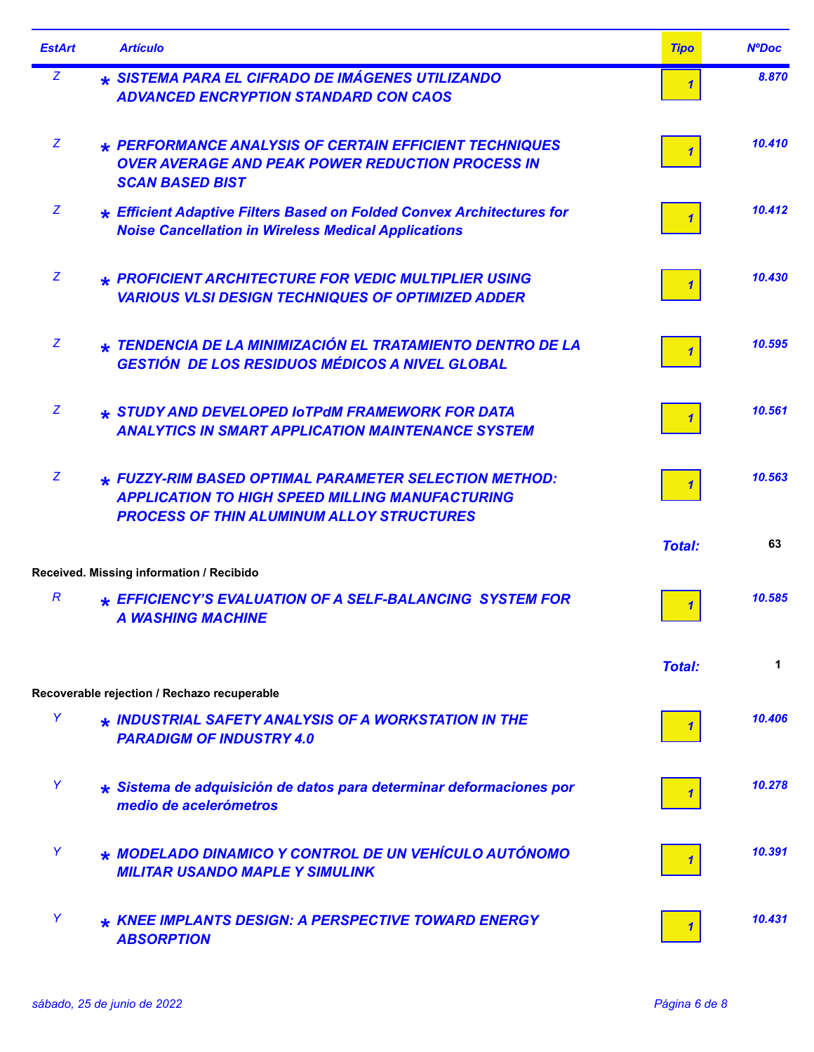| <b>EstArt</b> | <b>Artículo</b>                                                                                                                                                     | <b>Tipo</b>   | <b>NºDoc</b> |
|---------------|---------------------------------------------------------------------------------------------------------------------------------------------------------------------|---------------|--------------|
| Z             | * SISTEMA PARA EL CIFRADO DE IMÁGENES UTILIZANDO<br><b>ADVANCED ENCRYPTION STANDARD CON CAOS</b>                                                                    |               | 8.870        |
| Z             | * PERFORMANCE ANALYSIS OF CERTAIN EFFICIENT TECHNIQUES<br><b>OVER AVERAGE AND PEAK POWER REDUCTION PROCESS IN</b><br><b>SCAN BASED BIST</b>                         |               | 10.410       |
| Z             | <b>* Efficient Adaptive Filters Based on Folded Convex Architectures for</b><br><b>Noise Cancellation in Wireless Medical Applications</b>                          |               | 10.412       |
| Z             | * PROFICIENT ARCHITECTURE FOR VEDIC MULTIPLIER USING<br><b>VARIOUS VLSI DESIGN TECHNIQUES OF OPTIMIZED ADDER</b>                                                    |               | 10.430       |
| Z             | * TENDENCIA DE LA MINIMIZACIÓN EL TRATAMIENTO DENTRO DE LA<br><b>GESTIÓN DE LOS RESIDUOS MÉDICOS A NIVEL GLOBAL</b>                                                 |               | 10.595       |
| Z             | * STUDY AND DEVELOPED IOTPdM FRAMEWORK FOR DATA<br><b>ANALYTICS IN SMART APPLICATION MAINTENANCE SYSTEM</b>                                                         |               | 10.561       |
| Z             | * FUZZY-RIM BASED OPTIMAL PARAMETER SELECTION METHOD:<br><b>APPLICATION TO HIGH SPEED MILLING MANUFACTURING</b><br><b>PROCESS OF THIN ALUMINUM ALLOY STRUCTURES</b> |               | 10.563       |
|               | Received. Missing information / Recibido                                                                                                                            | <b>Total:</b> | 63           |
| R             | * EFFICIENCY'S EVALUATION OF A SELF-BALANCING SYSTEM FOR<br><b>A WASHING MACHINE</b>                                                                                |               | 10.585       |
|               |                                                                                                                                                                     | <b>Total:</b> | 1            |
| Y             | Recoverable rejection / Rechazo recuperable                                                                                                                         |               |              |
|               | * INDUSTRIAL SAFETY ANALYSIS OF A WORKSTATION IN THE<br><b>PARADIGM OF INDUSTRY 4.0</b>                                                                             |               | 10.406       |
| Y             | * Sistema de adquisición de datos para determinar deformaciones por<br>medio de acelerómetros                                                                       |               | 10.278       |
| Y             | * MODELADO DINAMICO Y CONTROL DE UN VEHÍCULO AUTÓNOMO<br><b>MILITAR USANDO MAPLE Y SIMULINK</b>                                                                     |               | 10.391       |
| Y             | * KNEE IMPLANTS DESIGN: A PERSPECTIVE TOWARD ENERGY<br><b>ABSORPTION</b>                                                                                            |               | 10.431       |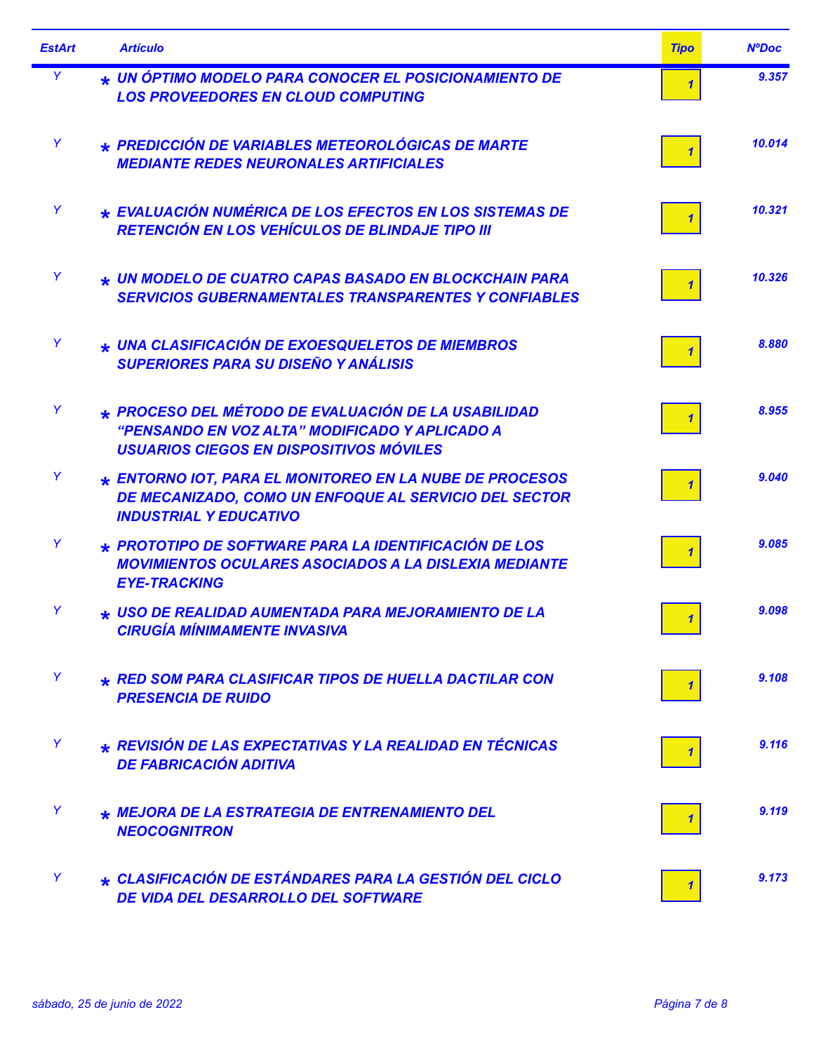| <b>EstArt</b> | <b>Artículo</b>                                                                                                                                          | <b>Tipo</b> | <b>NºDoc</b> |
|---------------|----------------------------------------------------------------------------------------------------------------------------------------------------------|-------------|--------------|
| Y             | * UN ÓPTIMO MODELO PARA CONOCER EL POSICIONAMIENTO DE<br><b>LOS PROVEEDORES EN CLOUD COMPUTING</b>                                                       |             | 9.357        |
| Y             | * PREDICCIÓN DE VARIABLES METEOROLÓGICAS DE MARTE<br><b>MEDIANTE REDES NEURONALES ARTIFICIALES</b>                                                       |             | 10.014       |
| Y             | ★ EVALUACIÓN NUMÉRICA DE LOS EFECTOS EN LOS SISTEMAS DE<br><b>RETENCIÓN EN LOS VEHÍCULOS DE BLINDAJE TIPO III</b>                                        |             | 10.321       |
| Y             | * UN MODELO DE CUATRO CAPAS BASADO EN BLOCKCHAIN PARA<br><b>SERVICIOS GUBERNAMENTALES TRANSPARENTES Y CONFIABLES</b>                                     |             | 10.326       |
| Y             | * UNA CLASIFICACIÓN DE EXOESQUELETOS DE MIEMBROS<br><b>SUPERIORES PARA SU DISEÑO Y ANÁLISIS</b>                                                          |             | 8.880        |
| Y             | * PROCESO DEL MÉTODO DE EVALUACIÓN DE LA USABILIDAD<br>"PENSANDO EN VOZ ALTA" MODIFICADO Y APLICADO A<br><b>USUARIOS CIEGOS EN DISPOSITIVOS MÓVILES</b>  |             | 8.955        |
| Y             | <b>* ENTORNO IOT, PARA EL MONITOREO EN LA NUBE DE PROCESOS</b><br>DE MECANIZADO, COMO UN ENFOQUE AL SERVICIO DEL SECTOR<br><b>INDUSTRIAL Y EDUCATIVO</b> |             | 9.040        |
| Y             | $\star$ PROTOTIPO DE SOFTWARE PARA LA IDENTIFICACIÓN DE LOS<br><b>MOVIMIENTOS OCULARES ASOCIADOS A LA DISLEXIA MEDIANTE</b><br><b>EYE-TRACKING</b>       |             | 9.085        |
| Y             | * USO DE REALIDAD AUMENTADA PARA MEJORAMIENTO DE LA<br><b>CIRUGÍA MÍNIMAMENTE INVASIVA</b>                                                               |             | 9.098        |
| Y             | * RED SOM PARA CLASIFICAR TIPOS DE HUELLA DACTILAR CON<br><b>PRESENCIA DE RUIDO</b>                                                                      |             | 9.108        |
| Y             | * REVISIÓN DE LAS EXPECTATIVAS Y LA REALIDAD EN TÉCNICAS<br><b>DE FABRICACIÓN ADITIVA</b>                                                                |             | 9.116        |
| Y             | * MEJORA DE LA ESTRATEGIA DE ENTRENAMIENTO DEL<br><b>NEOCOGNITRON</b>                                                                                    |             | 9.119        |
| Y             | ★ CLASIFICACIÓN DE ESTÁNDARES PARA LA GESTIÓN DEL CICLO<br>DE VIDA DEL DESARROLLO DEL SOFTWARE                                                           |             | 9.173        |

Ē